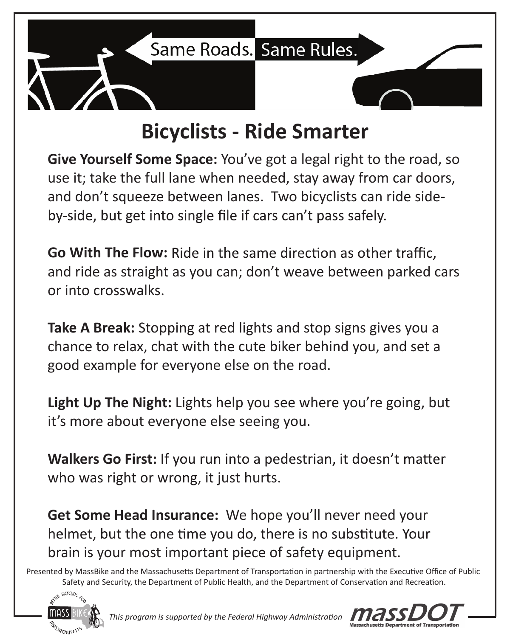

## **Bicyclists - Ride Smarter**

**Give Yourself Some Space:** You've got a legal right to the road, so use it; take the full lane when needed, stay away from car doors, and don't squeeze between lanes. Two bicyclists can ride sideby-side, but get into single file if cars can't pass safely.

**Go With The Flow:** and ride as straight as you can; don't weave between parked cars or into crosswalks.

**Take A Break:** Stopping at red lights and stop signs gives you a chance to relax, chat with the cute biker behind you, and set a good example for everyone else on the road.

**Light Up The Night:** Lights help you see where you're going, but it's more about everyone else seeing you.

Walkers Go First: If you run into a pedestrian, it doesn't matter who was right or wrong, it just hurts.

**Get Some Head Insurance:** We hope you'll never need your helmet, but the one time you do, there is no substitute. Your brain is your most important piece of safety equipment.

Presented by MassBike and the Massachusetts Department of Transportation in partnership with the Executive Office of Public Safety and Security, the Department of Public Health, and the Department of Conservation and Recreation.



*This program is supported by the Federal Highway Administration*